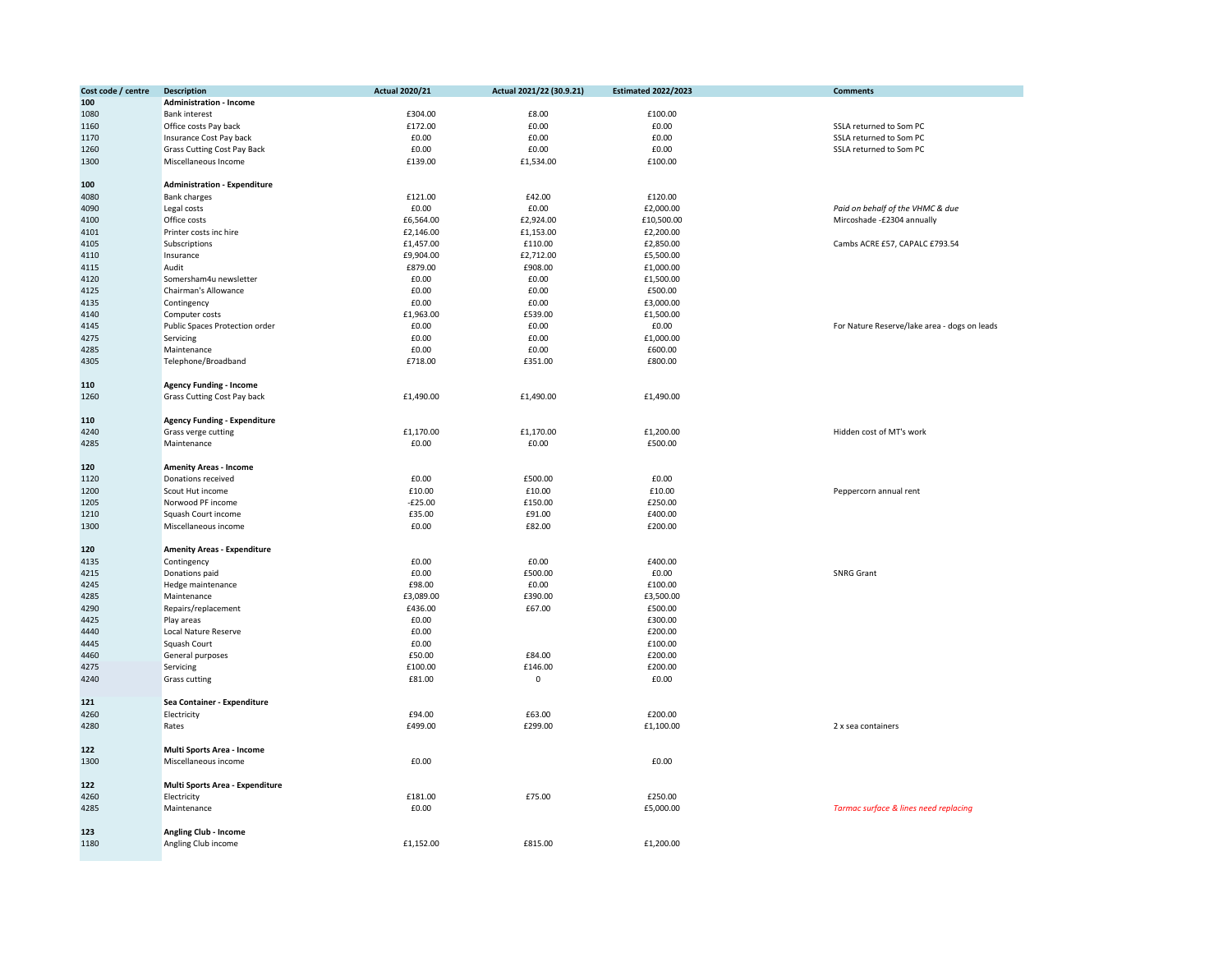| Cost code / centre | <b>Description</b>                  | <b>Actual 2020/21</b> | Actual 2021/22 (30.9.21) | <b>Estimated 2022/2023</b> | <b>Comments</b>                              |
|--------------------|-------------------------------------|-----------------------|--------------------------|----------------------------|----------------------------------------------|
| 100                | <b>Administration - Income</b>      |                       |                          |                            |                                              |
| 1080               | <b>Bank interest</b>                | £304.00               | £8.00                    | £100.00                    |                                              |
| 1160               | Office costs Pay back               | £172.00               | £0.00                    | £0.00                      | SSLA returned to Som PC                      |
| 1170               | Insurance Cost Pay back             | £0.00                 | £0.00                    | £0.00                      | SSLA returned to Som PC                      |
| 1260               | <b>Grass Cutting Cost Pay Back</b>  | £0.00                 | £0.00                    | £0.00                      | SSLA returned to Som PC                      |
| 1300               | Miscellaneous Income                | £139.00               | £1,534.00                | £100.00                    |                                              |
|                    |                                     |                       |                          |                            |                                              |
| 100                | <b>Administration - Expenditure</b> |                       |                          |                            |                                              |
| 4080               | <b>Bank charges</b>                 | £121.00               | £42.00                   | £120.00                    |                                              |
| 4090               | Legal costs                         | £0.00                 | £0.00                    | £2,000.00                  | Paid on behalf of the VHMC & due             |
| 4100               | Office costs                        | £6,564.00             | £2,924.00                | £10,500.00                 | Mircoshade -£2304 annually                   |
|                    |                                     |                       |                          |                            |                                              |
| 4101               | Printer costs inc hire              | £2,146.00             | £1,153.00                | £2,200.00                  |                                              |
| 4105               | Subscriptions                       | £1,457.00             | £110.00                  | £2,850.00                  | Cambs ACRE £57, CAPALC £793.54               |
| 4110               | Insurance                           | £9,904.00             | £2,712.00                | £5,500.00                  |                                              |
| 4115               | Audit                               | £879.00               | £908.00                  | £1,000.00                  |                                              |
| 4120               | Somersham4u newsletter              | £0.00                 | £0.00                    | £1,500.00                  |                                              |
| 4125               | Chairman's Allowance                | £0.00                 | £0.00                    | £500.00                    |                                              |
| 4135               | Contingency                         | £0.00                 | £0.00                    | £3,000.00                  |                                              |
| 4140               | Computer costs                      | £1,963.00             | £539.00                  | £1,500.00                  |                                              |
| 4145               | Public Spaces Protection order      | £0.00                 | £0.00                    | £0.00                      | For Nature Reserve/lake area - dogs on leads |
| 4275               | Servicing                           | £0.00                 | £0.00                    | £1,000.00                  |                                              |
| 4285               | Maintenance                         | £0.00                 | £0.00                    | £600.00                    |                                              |
|                    |                                     |                       |                          |                            |                                              |
| 4305               | Telephone/Broadband                 | £718.00               | £351.00                  | £800.00                    |                                              |
|                    |                                     |                       |                          |                            |                                              |
| 110                | <b>Agency Funding - Income</b>      |                       |                          |                            |                                              |
| 1260               | Grass Cutting Cost Pay back         | £1,490.00             | £1,490.00                | £1,490.00                  |                                              |
|                    |                                     |                       |                          |                            |                                              |
| 110                | <b>Agency Funding - Expenditure</b> |                       |                          |                            |                                              |
| 4240               | Grass verge cutting                 | £1,170.00             | £1,170.00                | £1,200.00                  | Hidden cost of MT's work                     |
| 4285               | Maintenance                         | £0.00                 | £0.00                    | £500.00                    |                                              |
|                    |                                     |                       |                          |                            |                                              |
| 120                | <b>Amenity Areas - Income</b>       |                       |                          |                            |                                              |
|                    | Donations received                  | £0.00                 | £500.00                  | £0.00                      |                                              |
| 1120               |                                     | £10.00                | £10.00                   | £10.00                     |                                              |
| 1200               | Scout Hut income                    |                       |                          |                            | Peppercorn annual rent                       |
| 1205               | Norwood PF income                   | $-E25.00$             | £150.00                  | £250.00                    |                                              |
| 1210               | Squash Court income                 | £35.00                | £91.00                   | £400.00                    |                                              |
| 1300               | Miscellaneous income                | £0.00                 | £82.00                   | £200.00                    |                                              |
|                    |                                     |                       |                          |                            |                                              |
| 120                | <b>Amenity Areas - Expenditure</b>  |                       |                          |                            |                                              |
| 4135               | Contingency                         | £0.00                 | £0.00                    | £400.00                    |                                              |
| 4215               | Donations paid                      | £0.00                 | £500.00                  | £0.00                      | <b>SNRG Grant</b>                            |
| 4245               | Hedge maintenance                   | £98.00                | £0.00                    | £100.00                    |                                              |
| 4285               | Maintenance                         | £3,089.00             | £390.00                  | £3,500.00                  |                                              |
|                    |                                     |                       |                          |                            |                                              |
| 4290               | Repairs/replacement                 | £436.00               | £67.00                   | £500.00                    |                                              |
| 4425               | Play areas                          | £0.00                 |                          | £300.00                    |                                              |
| 4440               | Local Nature Reserve                | £0.00                 |                          | £200.00                    |                                              |
| 4445               | Squash Court                        | £0.00                 |                          | £100.00                    |                                              |
| 4460               | General purposes                    | £50.00                | £84.00                   | £200.00                    |                                              |
| 4275               | Servicing                           | £100.00               | £146.00                  | £200.00                    |                                              |
| 4240               | <b>Grass cutting</b>                | £81.00                | 0                        | £0.00                      |                                              |
|                    |                                     |                       |                          |                            |                                              |
| 121                | Sea Container - Expenditure         |                       |                          |                            |                                              |
| 4260               | Electricity                         | £94.00                | £63.00                   | £200.00                    |                                              |
| 4280               |                                     | £499.00               | £299.00                  | £1,100.00                  | 2 x sea containers                           |
|                    | Rates                               |                       |                          |                            |                                              |
|                    |                                     |                       |                          |                            |                                              |
| 122                | Multi Sports Area - Income          |                       |                          |                            |                                              |
| 1300               | Miscellaneous income                | £0.00                 |                          | £0.00                      |                                              |
|                    |                                     |                       |                          |                            |                                              |
| 122                | Multi Sports Area - Expenditure     |                       |                          |                            |                                              |
| 4260               | Electricity                         | £181.00               | £75.00                   | £250.00                    |                                              |
| 4285               | Maintenance                         | £0.00                 |                          | £5,000.00                  | Tarmac surface & lines need replacing        |
|                    |                                     |                       |                          |                            |                                              |
| 123                | <b>Angling Club - Income</b>        |                       |                          |                            |                                              |
| 1180               | Angling Club income                 | £1,152.00             | £815.00                  | £1,200.00                  |                                              |
|                    |                                     |                       |                          |                            |                                              |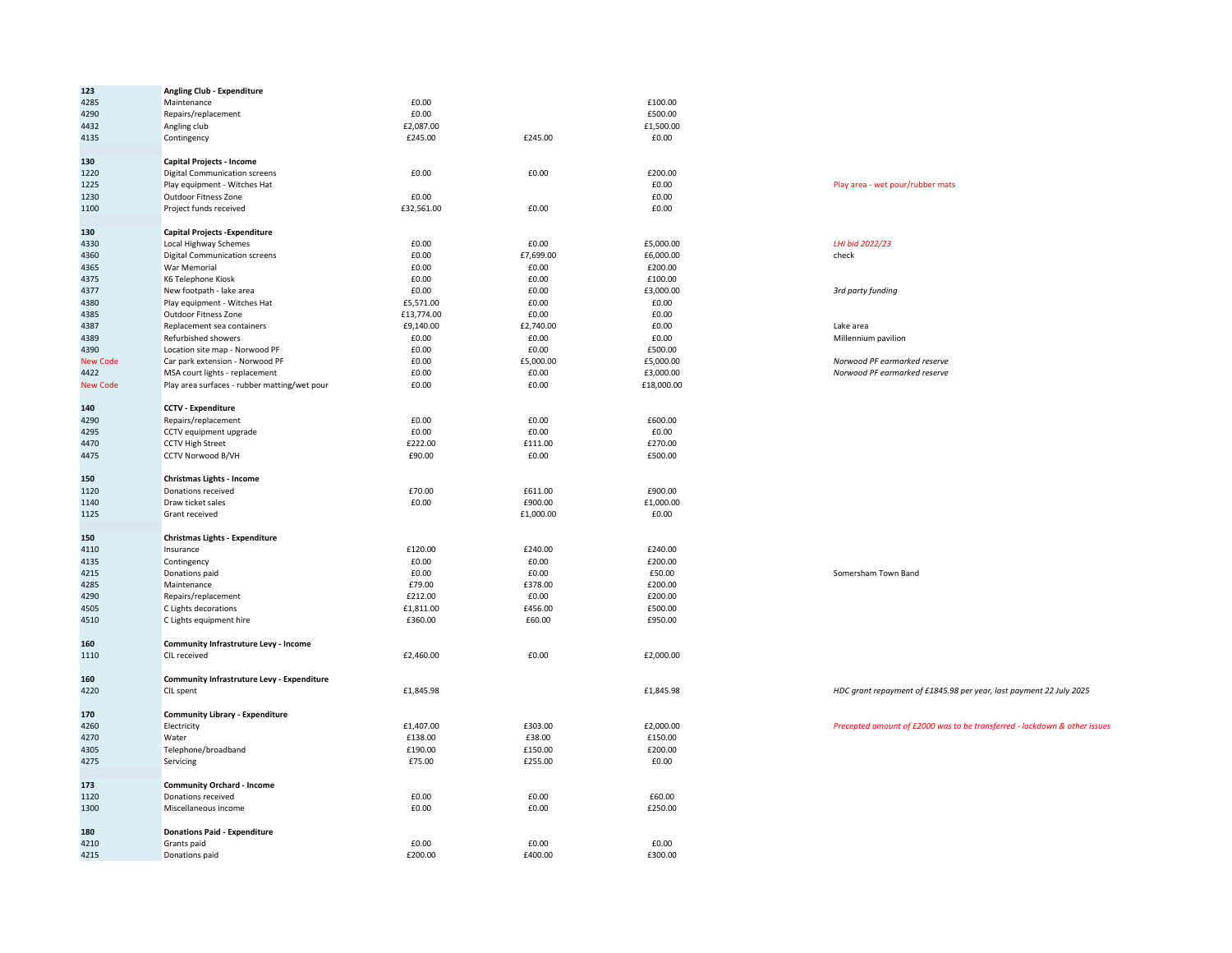| 123             | <b>Angling Club - Expenditure</b>                  |            |                      |            |                                                                           |
|-----------------|----------------------------------------------------|------------|----------------------|------------|---------------------------------------------------------------------------|
| 4285            | Maintenance                                        | £0.00      |                      | £100.00    |                                                                           |
| 4290            | Repairs/replacement                                | £0.00      |                      | £500.00    |                                                                           |
| 4432            | Angling club                                       | £2,087.00  |                      | £1,500.00  |                                                                           |
| 4135            | Contingency                                        | £245.00    | £245.00              | £0.00      |                                                                           |
|                 |                                                    |            |                      |            |                                                                           |
| 130             | Capital Projects - Income                          |            |                      |            |                                                                           |
| 1220            | <b>Digital Communication screens</b>               | £0.00      | £0.00                | £200.00    |                                                                           |
| 1225            | Play equipment - Witches Hat                       |            |                      | £0.00      | Play area - wet pour/rubber mats                                          |
| 1230            | Outdoor Fitness Zone                               | £0.00      |                      | £0.00      |                                                                           |
| 1100            | Project funds received                             | £32,561.00 | £0.00                | £0.00      |                                                                           |
| 130             | <b>Capital Projects - Expenditure</b>              |            |                      |            |                                                                           |
| 4330            | Local Highway Schemes                              | £0.00      | £0.00                | £5,000.00  | LHI bid 2022/23                                                           |
| 4360            | <b>Digital Communication screens</b>               | £0.00      | £7,699.00            | £6,000.00  | check                                                                     |
| 4365            | War Memorial                                       | £0.00      | £0.00                | £200.00    |                                                                           |
| 4375            | K6 Telephone Kiosk                                 | £0.00      | £0.00                | £100.00    |                                                                           |
| 4377            | New footpath - lake area                           | £0.00      | £0.00                | £3,000.00  | 3rd party funding                                                         |
|                 |                                                    |            |                      |            |                                                                           |
| 4380<br>4385    | Play equipment - Witches Hat                       | £5,571.00  | £0.00                | £0.00      |                                                                           |
|                 | <b>Outdoor Fitness Zone</b>                        | £13,774.00 | £0.00                | £0.00      |                                                                           |
| 4387            | Replacement sea containers                         | £9,140.00  | £2,740.00            | £0.00      | Lake area                                                                 |
| 4389            | Refurbished showers                                | £0.00      | £0.00                | £0.00      | Millennium pavilion                                                       |
| 4390            | Location site map - Norwood PF                     | £0.00      | £0.00                | £500.00    |                                                                           |
| <b>New Code</b> | Car park extension - Norwood PF                    | £0.00      | £5,000.00            | £5,000.00  | Norwood PF earmarked reserve                                              |
| 4422            | MSA court lights - replacement                     | £0.00      | £0.00                | £3,000.00  | Norwood PF earmarked reserve                                              |
| <b>New Code</b> | Play area surfaces - rubber matting/wet pour       | £0.00      | £0.00                | £18,000.00 |                                                                           |
| 140             | <b>CCTV - Expenditure</b>                          |            |                      |            |                                                                           |
| 4290            | Repairs/replacement                                | £0.00      | £0.00                | £600.00    |                                                                           |
|                 |                                                    |            |                      |            |                                                                           |
| 4295            | CCTV equipment upgrade                             | £0.00      | £0.00                | £0.00      |                                                                           |
| 4470            | <b>CCTV High Street</b>                            | £222.00    | £111.00              | £270.00    |                                                                           |
| 4475            | CCTV Norwood B/VH                                  | £90.00     | £0.00                | £500.00    |                                                                           |
| 150             | Christmas Lights - Income                          |            |                      |            |                                                                           |
| 1120            | Donations received                                 | £70.00     | £611.00              | £900.00    |                                                                           |
| 1140            | Draw ticket sales                                  | £0.00      | £900.00              | £1,000.00  |                                                                           |
| 1125            | Grant received                                     |            | £1,000.00            | £0.00      |                                                                           |
|                 |                                                    |            |                      |            |                                                                           |
| 150             | Christmas Lights - Expenditure                     |            |                      |            |                                                                           |
| 4110            | Insurance                                          | £120.00    | £240.00              | £240.00    |                                                                           |
| 4135            | Contingency                                        | £0.00      | £0.00                | £200.00    |                                                                           |
| 4215            | Donations paid                                     | £0.00      | $\pmb{\text{E0.00}}$ | £50.00     | Somersham Town Band                                                       |
| 4285            | Maintenance                                        | £79.00     | £378.00              | £200.00    |                                                                           |
| 4290            | Repairs/replacement                                | £212.00    | £0.00                | £200.00    |                                                                           |
| 4505            | C Lights decorations                               | £1,811.00  | £456.00              | £500.00    |                                                                           |
| 4510            | C Lights equipment hire                            | £360.00    | £60.00               | £950.00    |                                                                           |
|                 |                                                    |            |                      |            |                                                                           |
| 160             | Community Infrastruture Levy - Income              |            |                      |            |                                                                           |
| 1110            | CIL received                                       | £2,460.00  | £0.00                | £2,000.00  |                                                                           |
| 160             | Community Infrastruture Levy - Expenditure         |            |                      |            |                                                                           |
| 4220            | <b>CIL</b> spent                                   | £1,845.98  |                      | £1,845.98  | HDC grant repayment of £1845.98 per year, last payment 22 July 2025       |
| 170             | <b>Community Library - Expenditure</b>             |            |                      |            |                                                                           |
| 4260            | Electricity                                        | £1,407.00  | £303.00              | £2,000.00  | Precepted amount of £2000 was to be transferred - lockdown & other issues |
| 4270            | Water                                              | £138.00    | £38.00               | £150.00    |                                                                           |
|                 |                                                    |            |                      |            |                                                                           |
| 4305            | Telephone/broadband                                | £190.00    | £150.00              | £200.00    |                                                                           |
| 4275            | Servicing                                          | £75.00     | £255.00              | £0.00      |                                                                           |
| 173             | <b>Community Orchard - Income</b>                  |            |                      |            |                                                                           |
| 1120            | Donations received                                 | £0.00      | £0.00                | £60.00     |                                                                           |
| 1300            | Miscellaneous income                               | £0.00      | £0.00                | £250.00    |                                                                           |
|                 |                                                    |            |                      |            |                                                                           |
| 180<br>4210     | <b>Donations Paid - Expenditure</b><br>Grants paid | £0.00      | £0.00                | £0.00      |                                                                           |
| 4215            | Donations paid                                     | £200.00    | £400.00              | £300.00    |                                                                           |
|                 |                                                    |            |                      |            |                                                                           |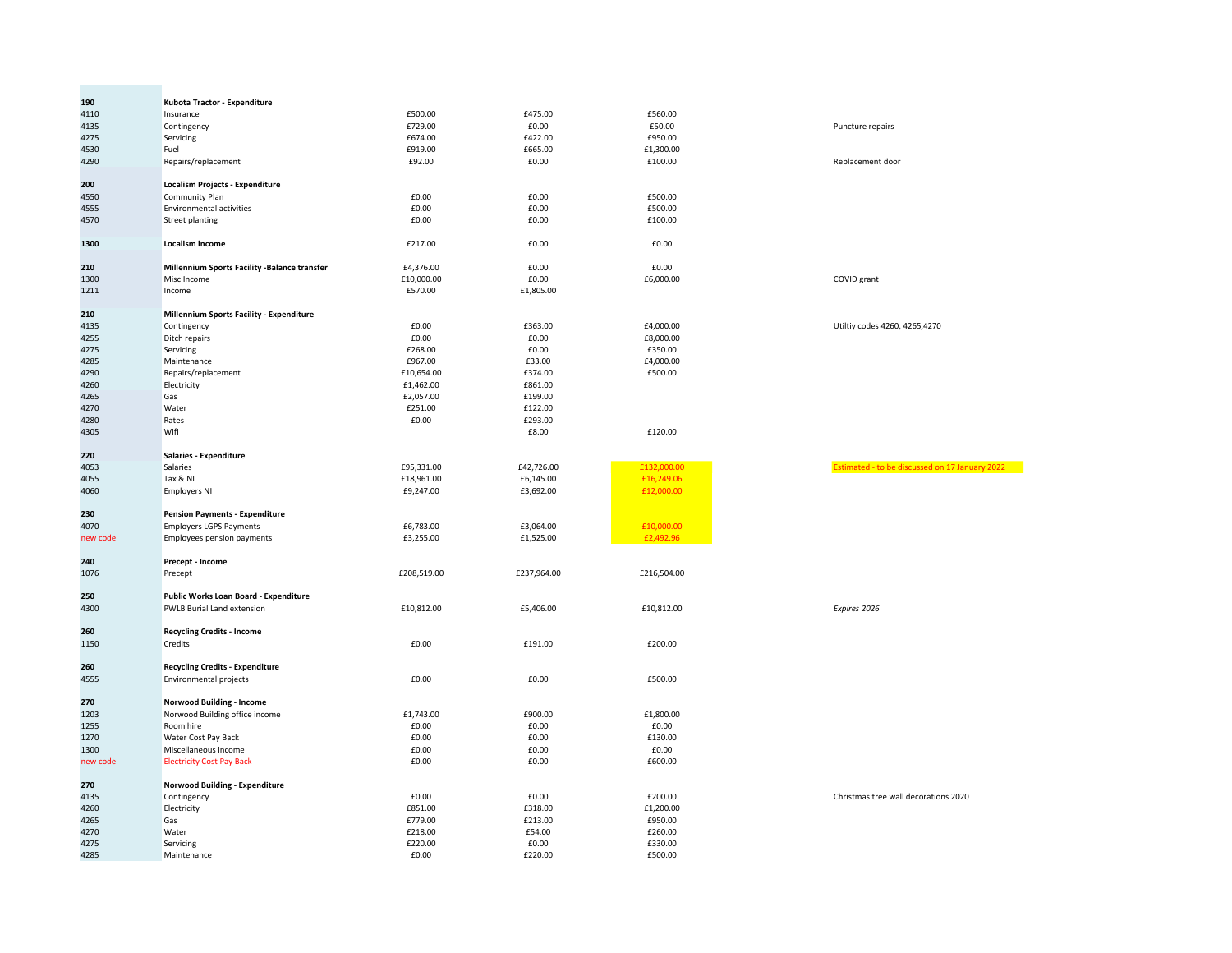| 190         | Kubota Tractor - Expenditure                    |             |             |             |                                                |
|-------------|-------------------------------------------------|-------------|-------------|-------------|------------------------------------------------|
| 4110        | Insurance                                       | £500.00     | £475.00     | £560.00     |                                                |
| 4135        | Contingency                                     | £729.00     | £0.00       | £50.00      | Puncture repairs                               |
| 4275        | Servicing                                       | £674.00     | £422.00     | £950.00     |                                                |
| 4530        | Fuel                                            | £919.00     | £665.00     | £1,300.00   |                                                |
|             |                                                 | £92.00      | £0.00       | £100.00     | Replacement door                               |
| 4290        | Repairs/replacement                             |             |             |             |                                                |
| 200         | <b>Localism Projects - Expenditure</b>          |             |             |             |                                                |
|             | <b>Community Plan</b>                           | £0.00       | £0.00       | £500.00     |                                                |
| 4550        |                                                 |             |             |             |                                                |
| 4555        | <b>Environmental activities</b>                 | £0.00       | £0.00       | £500.00     |                                                |
| 4570        | <b>Street planting</b>                          | £0.00       | £0.00       | £100.00     |                                                |
| 1300        | Localism income                                 | £217.00     | £0.00       | £0.00       |                                                |
| 210         | Millennium Sports Facility - Balance transfer   | £4,376.00   | £0.00       | £0.00       |                                                |
| 1300        | Misc Income                                     | £10,000.00  | £0.00       | £6,000.00   | COVID grant                                    |
|             |                                                 |             |             |             |                                                |
| 1211        | Income                                          | £570.00     | £1,805.00   |             |                                                |
| 210         | <b>Millennium Sports Facility - Expenditure</b> |             |             |             |                                                |
| 4135        | Contingency                                     | £0.00       | £363.00     | £4,000.00   | Utiltiy codes 4260, 4265,4270                  |
| 4255        | Ditch repairs                                   | £0.00       | £0.00       | £8,000.00   |                                                |
| 4275        | Servicing                                       | £268.00     | £0.00       | £350.00     |                                                |
|             |                                                 |             |             | £4,000.00   |                                                |
| 4285        | Maintenance                                     | £967.00     | £33.00      |             |                                                |
| 4290        | Repairs/replacement                             | £10,654.00  | £374.00     | £500.00     |                                                |
| 4260        | Electricity                                     | £1,462.00   | £861.00     |             |                                                |
| 4265        | Gas                                             | £2,057.00   | £199.00     |             |                                                |
| 4270        | Water                                           | £251.00     | £122.00     |             |                                                |
| 4280        | Rates                                           | £0.00       | £293.00     |             |                                                |
| 4305        | Wifi                                            |             | £8.00       | £120.00     |                                                |
|             |                                                 |             |             |             |                                                |
| 220         | Salaries - Expenditure                          |             |             |             |                                                |
| 4053        | Salaries                                        | £95,331.00  | £42,726.00  | £132,000.00 | Estimated - to be discussed on 17 January 2022 |
| 4055        | Tax & NI                                        | £18,961.00  | £6,145.00   | £16,249.06  |                                                |
| 4060        | <b>Employers NI</b>                             | £9,247.00   | £3,692.00   | £12,000.00  |                                                |
|             |                                                 |             |             |             |                                                |
| 230         | <b>Pension Payments - Expenditure</b>           |             |             |             |                                                |
| 4070        | <b>Employers LGPS Payments</b>                  | £6,783.00   | £3,064.00   | £10,000.00  |                                                |
|             |                                                 |             |             |             |                                                |
| new code    | <b>Employees pension payments</b>               | £3,255.00   | £1,525.00   | £2,492.96   |                                                |
| 240         | Precept - Income                                |             |             |             |                                                |
| 1076        | Precept                                         | £208,519.00 | £237,964.00 | £216,504.00 |                                                |
|             |                                                 |             |             |             |                                                |
| 250         | Public Works Loan Board - Expenditure           |             |             |             |                                                |
| 4300        | <b>PWLB Burial Land extension</b>               | £10,812.00  | £5,406.00   | £10,812.00  | Expires 2026                                   |
|             |                                                 |             |             |             |                                                |
| 260<br>1150 | <b>Recycling Credits - Income</b><br>Credits    | £0.00       | £191.00     | £200.00     |                                                |
|             |                                                 |             |             |             |                                                |
| 260         | <b>Recycling Credits - Expenditure</b>          |             |             |             |                                                |
| 4555        | <b>Environmental projects</b>                   | £0.00       | £0.00       | £500.00     |                                                |
|             |                                                 |             |             |             |                                                |
| 270         | <b>Norwood Building - Income</b>                |             |             |             |                                                |
| 1203        | Norwood Building office income                  | £1,743.00   | £900.00     | £1,800.00   |                                                |
| 1255        | Room hire                                       | £0.00       | £0.00       | £0.00       |                                                |
| 1270        | Water Cost Pay Back                             | £0.00       | £0.00       | £130.00     |                                                |
| 1300        | Miscellaneous income                            | £0.00       | £0.00       | £0.00       |                                                |
| new code    | <b>Electricity Cost Pay Back</b>                | £0.00       | £0.00       | £600.00     |                                                |
|             |                                                 |             |             |             |                                                |
| 270         | Norwood Building - Expenditure                  |             |             |             |                                                |
| 4135        | Contingency                                     | £0.00       | £0.00       | £200.00     | Christmas tree wall decorations 2020           |
| 4260        | Electricity                                     | £851.00     | £318.00     | £1,200.00   |                                                |
| 4265        | Gas                                             | £779.00     | £213.00     | £950.00     |                                                |
| 4270        | Water                                           | £218.00     | £54.00      | £260.00     |                                                |
| 4275        | Servicing                                       | £220.00     | £0.00       | £330.00     |                                                |
| 4285        | Maintenance                                     | £0.00       | £220.00     | £500.00     |                                                |
|             |                                                 |             |             |             |                                                |